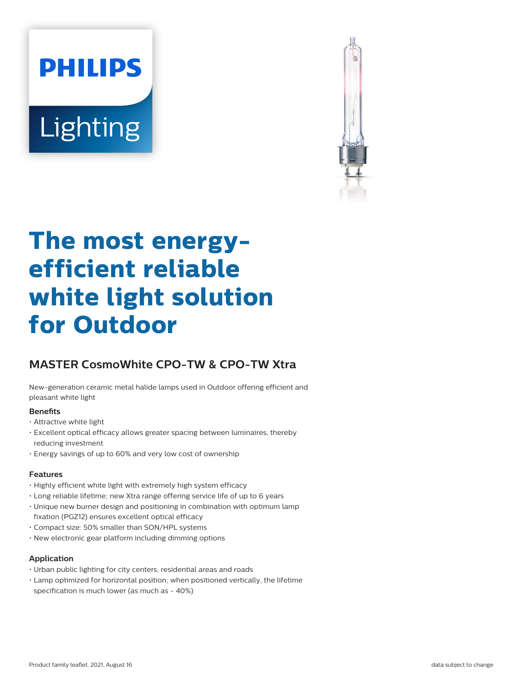# **PHILIPS Lighting**



# **The most energyefficient reliable white light solution for Outdoor**

# **MASTER CosmoWhite CPO-TW & CPO-TW Xtra**

New-generation ceramic metal halide lamps used in Outdoor offering efficient and pleasant white light

#### **Benefits**

- Attractive white light
- Excellent optical efficacy allows greater spacing between luminaires, thereby reducing investment
- Energy savings of up to 60% and very low cost of ownership

# **Features**

- Highly efficient white light with extremely high system efficacy
- Long reliable lifetime; new Xtra range offering service life of up to 6 years
- Unique new burner design and positioning in combination with optimum lamp fixation (PGZ12) ensures excellent optical efficacy
- Compact size: 50% smaller than SON/HPL systems
- New electronic gear platform including dimming options

# **Application**

- Urban public lighting for city centers, residential areas and roads
- Lamp optimized for horizontal position; when positioned vertically, the lifetime specification is much lower (as much as - 40%)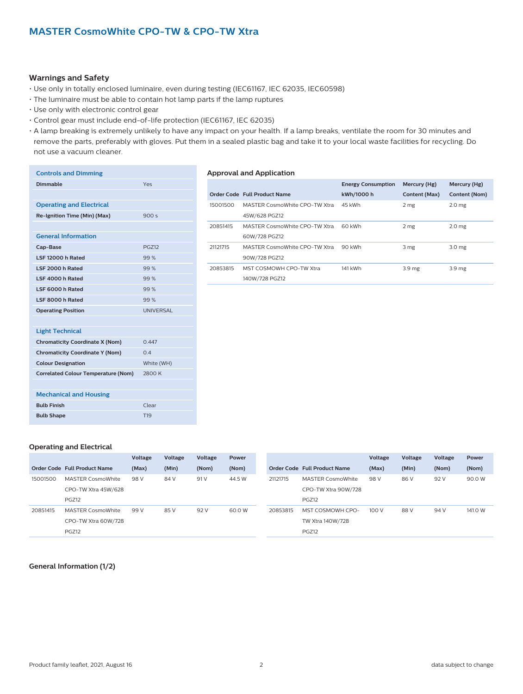#### **Warnings and Safety**

- Use only in totally enclosed luminaire, even during testing (IEC61167, IEC 62035, IEC60598)
- The luminaire must be able to contain hot lamp parts if the lamp ruptures
- Use only with electronic control gear

**Dimmable** Yes

- Control gear must include end-of-life protection (IEC61167, IEC 62035)
- A lamp breaking is extremely unlikely to have any impact on your health. If a lamp breaks, ventilate the room for 30 minutes and remove the parts, preferably with gloves. Put them in a sealed plastic bag and take it to your local waste facilities for recycling. Do not use a vacuum cleaner.

#### **Controls and Dimming**

# **Approval and Application**

| <b>Operating and Electrical</b>            |                  |
|--------------------------------------------|------------------|
| Re-Ignition Time (Min) (Max)               | 900s             |
|                                            |                  |
| <b>General Information</b>                 |                  |
| Cap-Base                                   | <b>PGZ12</b>     |
| LSF 12000 h Rated                          | 99%              |
| LSF 2000 h Rated                           | 99%              |
| LSF 4000 h Rated                           | 99%              |
| LSF 6000 h Rated                           | 99%              |
| LSF 8000 h Rated                           | 99%              |
| <b>Operating Position</b>                  | <b>UNIVERSAL</b> |
|                                            |                  |
| <b>Light Technical</b>                     |                  |
| <b>Chromaticity Coordinate X (Nom)</b>     | 0.447            |
| <b>Chromaticity Coordinate Y (Nom)</b>     | 0.4              |
| <b>Colour Designation</b>                  | White (WH)       |
| <b>Correlated Colour Temperature (Nom)</b> | 2800 K           |
|                                            |                  |
| <b>Mechanical and Housing</b>              |                  |
| <b>Bulb Finish</b>                         | Clear            |

|          |                               | <b>Energy Consumption</b> | Mercury (Hg)      | Mercury (Hg)      |
|----------|-------------------------------|---------------------------|-------------------|-------------------|
|          | Order Code Full Product Name  | kWh/1000 h                | Content (Max)     | Content (Nom)     |
| 15001500 | MASTER CosmoWhite CPO-TW Xtra | 45 kWh                    | 2 <sub>mg</sub>   | 2.0 <sub>mg</sub> |
|          | 45W/628 PGZ12                 |                           |                   |                   |
| 20851415 | MASTER CosmoWhite CPO-TW Xtra | 60 kWh                    | 2 mg              | 2.0 <sub>mg</sub> |
|          | 60W/728 PGZ12                 |                           |                   |                   |
| 21121715 | MASTER CosmoWhite CPO-TW Xtra | 90 kWh                    | 3 mg              | 3.0 <sub>mg</sub> |
|          | 90W/728 PGZ12                 |                           |                   |                   |
| 20853815 | MST COSMOWH CPO-TW Xtra       | 141 kWh                   | 3.9 <sub>mg</sub> | 3.9 <sub>mg</sub> |
|          | 140W/728 PGZ12                |                           |                   |                   |
|          |                               |                           |                   |                   |

#### **Operating and Electrical**

**Bulb Shape** T19

|          |                              | Voltage | Voltage | Voltage | Power  |                     |                              | Voltage | Voltage | Voltage | Power   |
|----------|------------------------------|---------|---------|---------|--------|---------------------|------------------------------|---------|---------|---------|---------|
|          | Order Code Full Product Name | (Max)   | (Min)   | (Nom)   | (Nom)  |                     | Order Code Full Product Name | (Max)   | (Min)   | (Nom)   | (Nom)   |
| 15001500 | <b>MASTER CosmoWhite</b>     | 98 V    | 84 V    | 91 V    | 44.5 W | 21121715            | <b>MASTER CosmoWhite</b>     | 98 V    | 86 V    | 92 V    | 90.0W   |
|          | CPO-TW Xtra 45W/628          |         |         |         |        | CPO-TW Xtra 90W/728 |                              |         |         |         |         |
|          | PGZ12                        |         |         |         |        |                     | PGZ12                        |         |         |         |         |
| 20851415 | MASTER CosmoWhite            | 99 V    | 85 V    | 92 V    | 60.0 W | 20853815            | MST COSMOWH CPO-             | 100V    | 88 V    | 94 V    | 141.0 W |
|          | CPO-TW Xtra 60W/728          |         |         |         |        |                     | TW Xtra 140W/728             |         |         |         |         |
|          | <b>PGZ12</b>                 |         |         |         |        |                     | PGZ12                        |         |         |         |         |

**General Information (1/2)**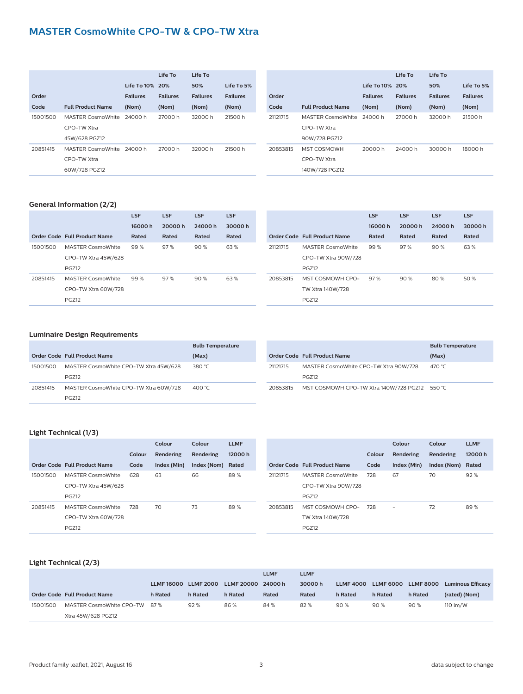# **MASTER CosmoWhite CPO-TW & CPO-TW Xtra**

|          |                          | Life To 10% 20% | Life To         | Life To<br>50%  | Life To 5%      |
|----------|--------------------------|-----------------|-----------------|-----------------|-----------------|
| Order    |                          | <b>Failures</b> | <b>Failures</b> | <b>Failures</b> | <b>Failures</b> |
| Code     | <b>Full Product Name</b> | (Nom)           | (Nom)           | (Nom)           | (Nom)           |
| 15001500 | MASTER CosmoWhite        | 24000 h         | 27000 h         | 32000 h         | 21500 h         |
|          | CPO-TW Xtra              |                 |                 |                 |                 |
|          | 45W/628 PGZ12            |                 |                 |                 |                 |
| 20851415 | MASTER CosmoWhite        | 24000 h         | 27000 h         | 32000 h         | 21500 h         |
|          | CPO-TW Xtra              |                 |                 |                 |                 |
|          | 60W/728 PGZ12            |                 |                 |                 |                 |

|          |                          |                 | Life To         | Life To         |                 |
|----------|--------------------------|-----------------|-----------------|-----------------|-----------------|
|          |                          | Life To 10% 20% |                 | 50%             | Life To 5%      |
| Order    |                          | <b>Failures</b> | <b>Failures</b> | <b>Failures</b> | <b>Failures</b> |
| Code     | <b>Full Product Name</b> | (Nom)           | (Nom)           | (Nom)           | (Nom)           |
| 21121715 | MASTER CosmoWhite        | 24000 h         | 27000 h         | 32000 h         | 21500 h         |
|          | CPO-TW Xtra              |                 |                 |                 |                 |
|          | 90W/728 PGZ12            |                 |                 |                 |                 |
| 20853815 | <b>MST COSMOWH</b>       | 20000 h         | 24000 h         | 30000 h         | 18000 h         |
|          | CPO-TW Xtra              |                 |                 |                 |                 |
|          | 140W/728 PGZ12           |                 |                 |                 |                 |

# **General Information (2/2)**

|          |                              | <b>LSF</b> | <b>LSF</b> | <b>LSF</b> | <b>LSF</b> |
|----------|------------------------------|------------|------------|------------|------------|
|          |                              | 16000h     | 20000h     | 24000h     | 30000h     |
|          | Order Code Full Product Name | Rated      | Rated      | Rated      | Rated      |
| 15001500 | MASTER CosmoWhite            | 99%        | 97%        | 90%        | 63%        |
|          | CPO-TW Xtra 45W/628          |            |            |            |            |
|          | <b>PGZ12</b>                 |            |            |            |            |
| 20851415 | <b>MASTER CosmoWhite</b>     | 99%        | 97%        | 90%        | 63%        |
|          | CPO-TW Xtra 60W/728          |            |            |            |            |
|          | <b>PGZ12</b>                 |            |            |            |            |

|          |                              | <b>LSF</b> | <b>LSF</b> | <b>LSF</b> | <b>LSF</b> |
|----------|------------------------------|------------|------------|------------|------------|
|          |                              | 16000h     | 20000h     | 24000h     | 30000h     |
|          | Order Code Full Product Name | Rated      | Rated      | Rated      | Rated      |
| 21121715 | <b>MASTER CosmoWhite</b>     | 99%        | 97%        | 90%        | 63%        |
|          | CPO-TW Xtra 90W/728          |            |            |            |            |
|          | <b>PGZ12</b>                 |            |            |            |            |
| 20853815 | MST COSMOWH CPO-             | 97%        | 90%        | 80%        | 50 %       |
|          | TW Xtra 140W/728             |            |            |            |            |
|          | <b>PGZ12</b>                 |            |            |            |            |

# **Luminaire Design Requirements**

|          |                                                       | <b>Bulb Temperature</b> |
|----------|-------------------------------------------------------|-------------------------|
|          | Order Code Full Product Name                          | (Max)                   |
| 15001500 | MASTER CosmoWhite CPO-TW Xtra 45W/628<br><b>PGZ12</b> | 380 °C                  |
| 20851415 | MASTER CosmoWhite CPO-TW Xtra 60W/728<br><b>PG712</b> | 400 $^{\circ}$ C        |

|          |                                               | <b>Bulb Temperature</b> |
|----------|-----------------------------------------------|-------------------------|
|          | <b>Order Code Full Product Name</b>           | (Max)                   |
| 21121715 | MASTER CosmoWhite CPO-TW Xtra 90W/728         | 470 °C                  |
|          | <b>PGZ12</b>                                  |                         |
| 20853815 | MST COSMOWH CPO-TW Xtra 140W/728 PGZ12 550 °C |                         |

# **Light Technical (1/3)**

|          |                              |        | Colour      | Colour      | LLMF   |
|----------|------------------------------|--------|-------------|-------------|--------|
|          |                              | Colour | Rendering   | Rendering   | 12000h |
|          | Order Code Full Product Name | Code   | Index (Min) | Index (Nom) | Rated  |
| 15001500 | <b>MASTER CosmoWhite</b>     | 628    | 63          | 66          | 89%    |
|          | CPO-TW Xtra 45W/628          |        |             |             |        |
|          | <b>PGZ12</b>                 |        |             |             |        |
| 20851415 | <b>MASTER CosmoWhite</b>     | 728    | 70          | 73          | 89%    |
|          | CPO-TW Xtra 60W/728          |        |             |             |        |
|          | <b>PGZ12</b>                 |        |             |             |        |
|          |                              |        |             |             |        |

|          |                              |        | Colour      | Colour      | <b>LLMF</b> |
|----------|------------------------------|--------|-------------|-------------|-------------|
|          |                              | Colour | Rendering   | Rendering   | 12000h      |
|          | Order Code Full Product Name | Code   | Index (Min) | Index (Nom) | Rated       |
| 21121715 | <b>MASTER CosmoWhite</b>     | 728    | 67          | 70          | 92%         |
|          | CPO-TW Xtra 90W/728          |        |             |             |             |
|          | <b>PGZ12</b>                 |        |             |             |             |
| 20853815 | MST COSMOWH CPO-             | 728    |             | 72          | 89%         |
|          | TW Xtra 140W/728             |        |             |             |             |
|          | <b>PGZ12</b>                 |        |             |             |             |

# **Light Technical (2/3)**

|          |                              |                   |                  |                   | <b>LLMF</b> | <b>LLMF</b> |                  |         |                     |                          |
|----------|------------------------------|-------------------|------------------|-------------------|-------------|-------------|------------------|---------|---------------------|--------------------------|
|          |                              | <b>LLMF 16000</b> | <b>LLMF 2000</b> | <b>LLMF 20000</b> | 24000 h     | 30000h      | <b>LLMF 4000</b> |         | LLMF 6000 LLMF 8000 | <b>Luminous Efficacy</b> |
|          | Order Code Full Product Name | h Rated           | h Rated          | h Rated           | Rated       | Rated       | h Rated          | h Rated | h Rated             | (rated) (Nom)            |
| 15001500 | MASTER CosmoWhite CPO-TW 87% |                   | 92%              | 86%               | 84 %        | 82%         | 90%              | 90%     | 90%                 | 110 $\rm{Im}/W$          |
|          | Xtra 45W/628 PGZ12           |                   |                  |                   |             |             |                  |         |                     |                          |